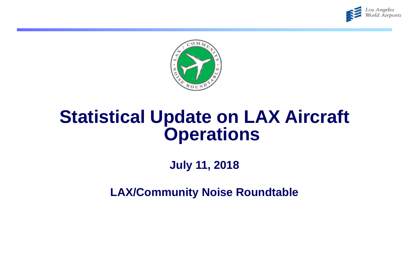



## **Statistical Update on LAX Aircraft Operations**

### **July 11, 2018**

#### **LAX/Community Noise Roundtable**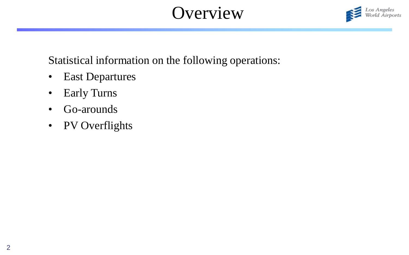# **Overview**



Statistical information on the following operations:

- **East Departures**
- Early Turns
- Go-arounds
- PV Overflights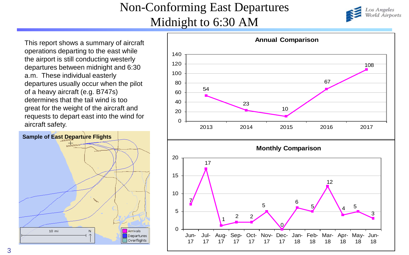### Non-Conforming East Departures Midnight to 6:30 AM



This report shows a summary of aircraft operations departing to the east while the airport is still conducting westerly departures between midnight and 6:30 a.m. These individual easterly departures usually occur when the pilot of a heavy aircraft (e.g. B747s) determines that the tail wind is too great for the weight of the aircraft and requests to depart east into the wind for aircraft safety.



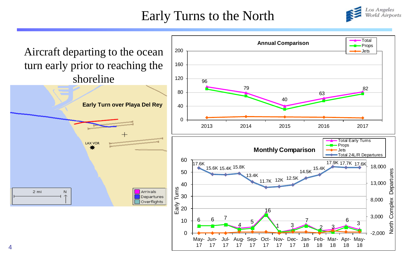## Early Turns to the North



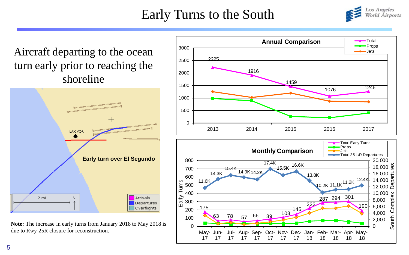## Early Turns to the South



Aircraft departing to the ocean turn early prior to reaching the shoreline



**Note:** The increase in early turns from January 2018 to May 2018 is due to Rwy 25R closure for reconstruction.

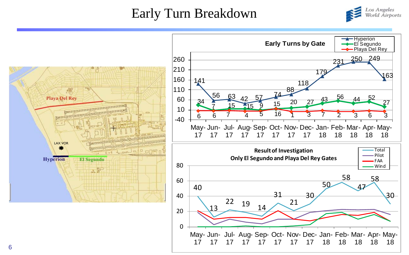## Early Turn Breakdown



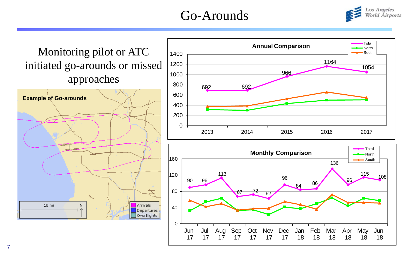## Go-Arounds



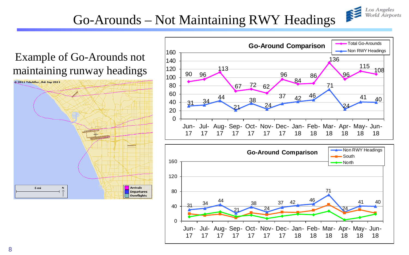

## Go-Arounds – Not Maintaining RWY Headings

### Example of Go-Arounds not maintaining runway headings  $\frac{|120|}{100}$   $\frac{1}{90}$   $\frac{1}{90}$





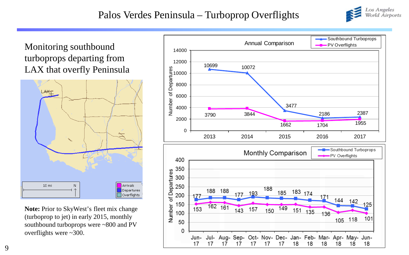

#### Monitoring southbound turboprops departing from LAX that overfly Peninsula



**Note:** Prior to SkyWest's fleet mix change (turboprop to jet) in early 2015, monthly southbound turboprops were ~800 and PV overflights were ~300.

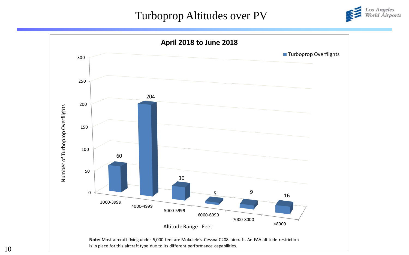#### Turboprop Altitudes over PV





10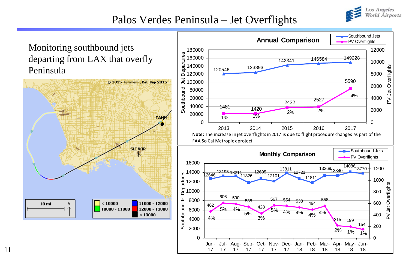

#### Palos Verdes Peninsula – Jet Overflights

Monitoring southbound jets departing from LAX that overfly departing from LAX that overfly<br>Peninsula  $\begin{bmatrix} 0 & 0 & 0 & 0 \ 0 & 0 & 0 & 0 \ 0 & 0 & 0 & 0 \ 0 & 0 & 0 & 0 \end{bmatrix}$